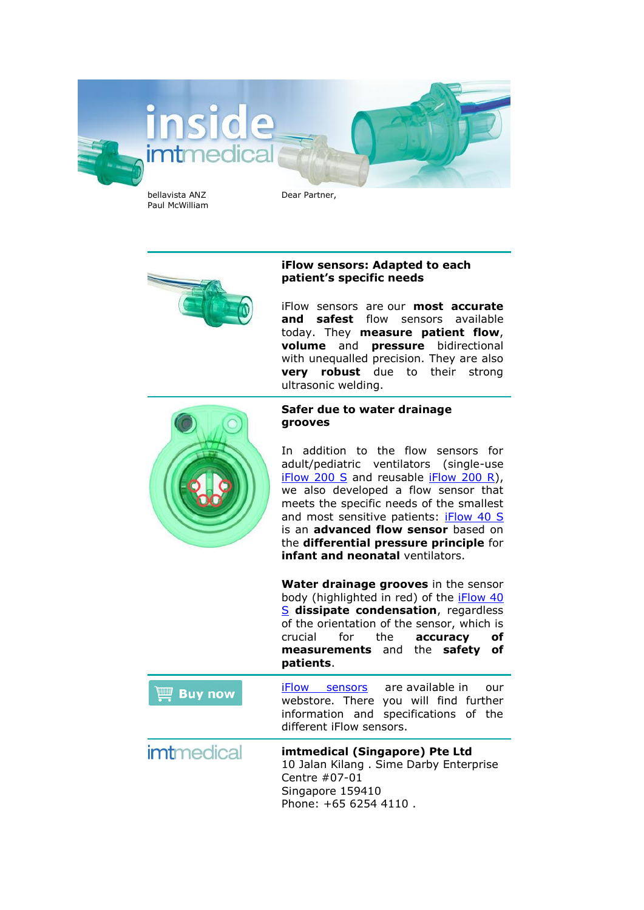

## **iFlow sensors: Adapted to each patient's specific needs**

iFlow sensors are our **most accurate and safest** flow sensors available today. They **measure patient flow**, **volume** and **pressure** bidirectional with unequalled precision. They are also **very robust** due to their strong ultrasonic welding.



## **Safer due to water drainage grooves**

In addition to the flow sensors for adult/pediatric ventilators (single-use [iFlow 200 S](https://webstore.imtmedical.com.sg/flow-sensors/iflow-sensor-200s.html) and reusable [iFlow 200 R\)](https://webstore.imtmedical.com.sg/flow-sensors/iflow-sensor-200r.html), we also developed a flow sensor that meets the specific needs of the smallest and most sensitive patients: [iFlow 40 S](https://webstore.imtmedical.com.sg/flow-sensors/iflow-sensor-40s.html) is an **advanced flow sensor** based on the **differential pressure principle** for **infant and neonatal** ventilators.

**Water drainage grooves** in the sensor body (highlighted in red) of the [iFlow 40](https://webstore.imtmedical.com.sg/flow-sensors/iflow-sensor-40s.html)  [S](https://webstore.imtmedical.com.sg/flow-sensors/iflow-sensor-40s.html) **dissipate condensation**, regardless of the orientation of the sensor, which is crucial for the **accuracy of measurements** and the **safety of patients**.

[iFlow sensors](https://webstore.imtmedical.com.sg/flow-sensors.html) are available in our **Buy now** webstore. There you will find further information and specifications of the different iFlow sensors.

imtmedical **imtmedical (Singapore) Pte Ltd** 10 Jalan Kilang . Sime Darby Enterprise Centre #07-01 Singapore 159410 Phone: +65 6254 4110 .